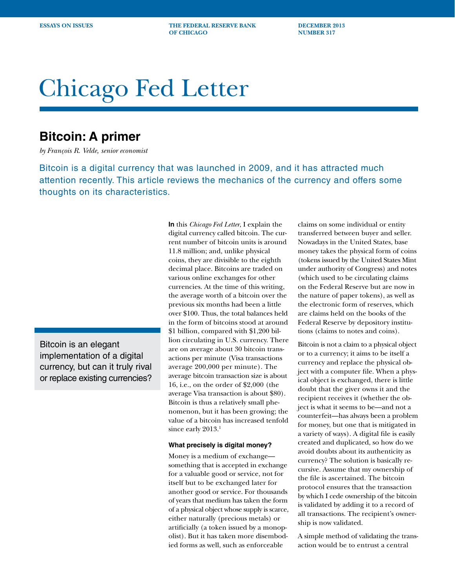**ESSAYS ON ISSUES THE FEDERAL RESERVE BANK DECEMBER 2013 OF CHICAGO** NUMBER 317

# Chicago Fed Letter

## **Bitcoin: A primer**

*by François R. Velde, senior economist*

Bitcoin is a digital currency that was launched in 2009, and it has attracted much attention recently. This article reviews the mechanics of the currency and offers some thoughts on its characteristics.

Bitcoin is an elegant implementation of a digital currency, but can it truly rival or replace existing currencies? **In** this *Chicago Fed Letter*, I explain the digital currency called bitcoin. The current number of bitcoin units is around 11.8 million; and, unlike physical coins, they are divisible to the eighth decimal place. Bitcoins are traded on various online exchanges for other currencies. At the time of this writing, the average worth of a bitcoin over the previous six months had been a little over \$100. Thus, the total balances held in the form of bitcoins stood at around \$1 billion, compared with \$1,200 billion circulating in U.S. currency. There are on average about 30 bitcoin transactions per minute (Visa transactions average 200,000 per minute). The average bitcoin transaction size is about 16, i.e., on the order of \$2,000 (the average Visa transaction is about \$80). Bitcoin is thus a relatively small phenomenon, but it has been growing; the value of a bitcoin has increased tenfold since early 2013.<sup>1</sup>

#### **What precisely is digital money?**

Money is a medium of exchange something that is accepted in exchange for a valuable good or service, not for itself but to be exchanged later for another good or service. For thousands of years that medium has taken the form of a physical object whose supply is scarce, either naturally (precious metals) or artificially (a token issued by a monopolist). But it has taken more disembodied forms as well, such as enforceable

claims on some individual or entity transferred between buyer and seller. Nowadays in the United States, base money takes the physical form of coins (tokens issued by the United States Mint under authority of Congress) and notes (which used to be circulating claims on the Federal Reserve but are now in the nature of paper tokens), as well as the electronic form of reserves, which are claims held on the books of the Federal Reserve by depository institutions (claims to notes and coins).

Bitcoin is not a claim to a physical object or to a currency; it aims to be itself a currency and replace the physical object with a computer file. When a physical object is exchanged, there is little doubt that the giver owns it and the recipient receives it (whether the object is what it seems to be—and not a counterfeit—has always been a problem for money, but one that is mitigated in a variety of ways). A digital file is easily created and duplicated, so how do we avoid doubts about its authenticity as currency? The solution is basically recursive. Assume that my ownership of the file is ascertained. The bitcoin protocol ensures that the transaction by which I cede ownership of the bitcoin is validated by adding it to a record of all transactions. The recipient's ownership is now validated.

A simple method of validating the transaction would be to entrust a central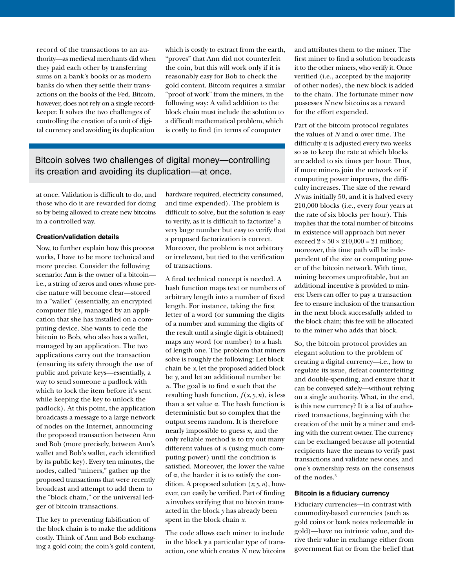record of the transactions to an authority—as medieval merchants did when they paid each other by transferring sums on a bank's books or as modern banks do when they settle their transactions on the books of the Fed. Bitcoin, however, does not rely on a single recordkeeper. It solves the two challenges of controlling the creation of a unit of digital currency and avoiding its duplication

which is costly to extract from the earth, "proves" that Ann did not counterfeit the coin, but this will work only if it is reasonably easy for Bob to check the gold content. Bitcoin requires a similar "proof of work" from the miners, in the following way: A valid addition to the block chain must include the solution to a difficult mathematical problem, which is costly to find (in terms of computer

### Bitcoin solves two challenges of digital money—controlling its creation and avoiding its duplication—at once.

at once. Validation is difficult to do, and those who do it are rewarded for doing so by being allowed to create new bitcoins in a controlled way.

#### **Creation/validation details**

Now, to further explain how this process works, I have to be more technical and more precise. Consider the following scenario: Ann is the owner of a bitcoin i.e., a string of zeros and ones whose precise nature will become clear—stored in a "wallet" (essentially, an encrypted computer file), managed by an application that she has installed on a computing device. She wants to cede the bitcoin to Bob, who also has a wallet, managed by an application. The two applications carry out the transaction (ensuring its safety through the use of public and private keys—essentially, a way to send someone a padlock with which to lock the item before it's sent while keeping the key to unlock the padlock). At this point, the application broadcasts a message to a large network of nodes on the Internet, announcing the proposed transaction between Ann and Bob (more precisely, between Ann's wallet and Bob's wallet, each identified by its public key). Every ten minutes, the nodes, called "miners," gather up the proposed transactions that were recently broadcast and attempt to add them to the "block chain," or the universal ledger of bitcoin transactions.

The key to preventing falsification of the block chain is to make the additions costly. Think of Ann and Bob exchanging a gold coin; the coin's gold content,

hardware required, electricity consumed, and time expended). The problem is difficult to solve, but the solution is easy to verify, as it is difficult to factorize $^2$  a very large number but easy to verify that a proposed factorization is correct. Moreover, the problem is not arbitrary or irrelevant, but tied to the verification of transactions.

A final technical concept is needed. A hash function maps text or numbers of arbitrary length into a number of fixed length. For instance, taking the first letter of a word (or summing the digits of a number and summing the digits of the result until a single digit is obtained) maps any word (or number) to a hash of length one. The problem that miners solve is roughly the following: Let block chain be *x*, let the proposed added block be *y*, and let an additional number be *n*. The goal is to find *n* such that the resulting hash function,  $f(x, y, n)$ , is less than a set value α. The hash function is deterministic but so complex that the output seems random. It is therefore nearly impossible to guess *n*, and the only reliable method is to try out many different values of *n* (using much computing power) until the condition is satisfied. Moreover, the lower the value of α, the harder it is to satisfy the condition. A proposed solution (*x*,*y*,*n*), however, can easily be verified. Part of finding *n* involves verifying that no bitcoin transacted in the block *y* has already been spent in the block chain *x*.

The code allows each miner to include in the block *y* a particular type of transaction, one which creates *N* new bitcoins and attributes them to the miner. The first miner to find a solution broadcasts it to the other miners, who verify it. Once verified (i.e., accepted by the majority of other nodes), the new block is added to the chain. The fortunate miner now possesses *N* new bitcoins as a reward for the effort expended.

Part of the bitcoin protocol regulates the values of *N* and α over time. The difficulty α is adjusted every two weeks so as to keep the rate at which blocks are added to six times per hour. Thus, if more miners join the network or if computing power improves, the difficulty increases. The size of the reward *N* was initially 50, and it is halved every 210,000 blocks (i.e., every four years at the rate of six blocks per hour). This implies that the total number of bitcoins in existence will approach but never exceed  $2 \times 50 \times 210,000 = 21$  million; moreover, this time path will be independent of the size or computing power of the bitcoin network. With time, mining becomes unprofitable, but an additional incentive is provided to miners: Users can offer to pay a transaction fee to ensure inclusion of the transaction in the next block successfully added to the block chain; this fee will be allocated to the miner who adds that block.

So, the bitcoin protocol provides an elegant solution to the problem of creating a digital currency—i.e., how to regulate its issue, defeat counterfeiting and double-spending, and ensure that it can be conveyed safely—without relying on a single authority. What, in the end, is this new currency? It is a list of authorized transactions, beginning with the creation of the unit by a miner and ending with the current owner. The currency can be exchanged because all potential recipients have the means to verify past transactions and validate new ones, and one's ownership rests on the consensus of the nodes.<sup>3</sup>

#### **Bitcoin is a fiduciary currency**

Fiduciary currencies—in contrast with commodity-based currencies (such as gold coins or bank notes redeemable in gold)—have no intrinsic value, and derive their value in exchange either from government fiat or from the belief that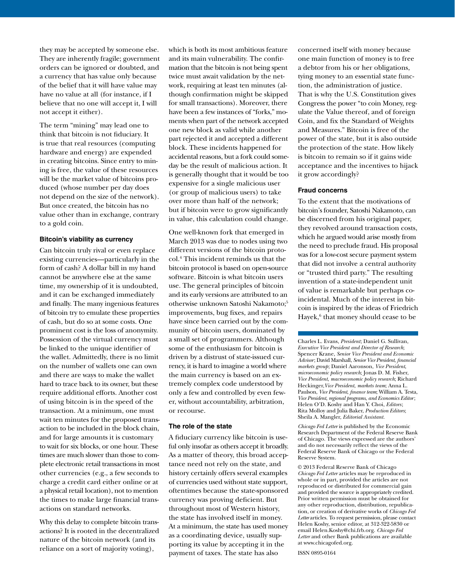they may be accepted by someone else. They are inherently fragile; government orders can be ignored or doubted, and a currency that has value only because of the belief that it will have value may have no value at all (for instance, if I believe that no one will accept it, I will not accept it either).

The term "mining" may lead one to think that bitcoin is not fiduciary. It is true that real resources (computing hardware and energy) are expended in creating bitcoins. Since entry to mining is free, the value of these resources will be the market value of bitcoins produced (whose number per day does not depend on the size of the network). But once created, the bitcoin has no value other than in exchange, contrary to a gold coin.

#### **Bitcoin's viability as currency**

Can bitcoin truly rival or even replace existing currencies—particularly in the form of cash? A dollar bill in my hand cannot be anywhere else at the same time, my ownership of it is undoubted, and it can be exchanged immediately and finally. The many ingenious features of bitcoin try to emulate these properties of cash, but do so at some costs. One prominent cost is the loss of anonymity. Possession of the virtual currency must be linked to the unique identifier of the wallet. Admittedly, there is no limit on the number of wallets one can own and there are ways to make the wallet hard to trace back to its owner, but these require additional efforts. Another cost of using bitcoin is in the speed of the transaction. At a minimum, one must wait ten minutes for the proposed transaction to be included in the block chain, and for large amounts it is customary to wait for six blocks, or one hour. These times are much slower than those to complete electronic retail transactions in most other currencies (e.g., a few seconds to charge a credit card either online or at a physical retail location), not to mention the times to make large financial transactions on standard networks.

Why this delay to complete bitcoin transactions? It is rooted in the decentralized nature of the bitcoin network (and its reliance on a sort of majority voting),

which is both its most ambitious feature and its main vulnerability. The confirmation that the bitcoin is not being spent twice must await validation by the network, requiring at least ten minutes (although confirmation might be skipped for small transactions). Moreover, there have been a few instances of "forks," moments when part of the network accepted one new block as valid while another part rejected it and accepted a different block. These incidents happened for accidental reasons, but a fork could someday be the result of malicious action. It is generally thought that it would be too expensive for a single malicious user (or group of malicious users) to take over more than half of the network; but if bitcoin were to grow significantly in value, this calculation could change.

One well-known fork that emerged in March 2013 was due to nodes using two different versions of the bitcoin protocol.4 This incident reminds us that the bitcoin protocol is based on open-source software. Bitcoin is what bitcoin users use. The general principles of bitcoin and its early versions are attributed to an otherwise unknown Satoshi Nakamoto;<sup>5</sup> improvements, bug fixes, and repairs have since been carried out by the community of bitcoin users, dominated by a small set of programmers. Although some of the enthusiasm for bitcoin is driven by a distrust of state-issued currency, it is hard to imagine a world where the main currency is based on an extremely complex code understood by only a few and controlled by even fewer, without accountability, arbitration, or recourse.

#### **The role of the state**

A fiduciary currency like bitcoin is useful only insofar as others accept it broadly. As a matter of theory, this broad acceptance need not rely on the state, and history certainly offers several examples of currencies used without state support, oftentimes because the state-sponsored currency was proving deficient. But throughout most of Western history, the state has involved itself in money. At a minimum, the state has used money as a coordinating device, usually supporting its value by accepting it in the payment of taxes. The state has also

concerned itself with money because one main function of money is to free a debtor from his or her obligations, tying money to an essential state function, the administration of justice. That is why the U.S. Constitution gives Congress the power "to coin Money, regulate the Value thereof, and of foreign Coin, and fix the Standard of Weights and Measures." Bitcoin is free of the power of the state, but it is also outside the protection of the state. How likely is bitcoin to remain so if it gains wide acceptance and the incentives to hijack it grow accordingly?

#### **Fraud concerns**

To the extent that the motivations of bitcoin's founder, Satoshi Nakamoto, can be discerned from his original paper, they revolved around transaction costs, which he argued would arise mostly from the need to preclude fraud. His proposal was for a low-cost secure payment system that did not involve a central authority or "trusted third party." The resulting invention of a state-independent unit of value is remarkable but perhaps coincidental. Much of the interest in bitcoin is inspired by the ideas of Friedrich Hayek,<sup>6</sup> that money should cease to be

Charles L. Evans, *President*; Daniel G. Sullivan, *Executive Vice President and Director of Research*; Spencer Krane, *Senior Vice President and Economic Advisor*; David Marshall, *Senior Vice President*, *financial markets group*; Daniel Aaronson, *Vice President*, *microeconomic policy research*; Jonas D. M. Fisher, *Vice President*, *macroeconomic policy research*; Richard Heckinger,*Vice President*, *markets team*; Anna L. Paulson, *Vice President*, *finance team*; William A. Testa, *Vice President*, *regional programs*, *and Economics Editor*; Helen O'D. Koshy and Han Y. Choi, *Editors* ; Rita Molloy and Julia Baker, *Production Editors*; Sheila A. Mangler, *Editorial Assistant.* 

*Chicago Fed Letter* is published by the Economic Research Department of the Federal Reserve Bank of Chicago. The views expressed are the authors' and do not necessarily reflect the views of the Federal Reserve Bank of Chicago or the Federal Reserve System.

© 2013 Federal Reserve Bank of Chicago *Chicago Fed Letter* articles may be reproduced in whole or in part, provided the articles are not reproduced or distributed for commercial gain and provided the source is appropriately credited. Prior written permission must be obtained for any other reproduction, distribution, republication, or creation of derivative works of *Chicago Fed Letter* articles. To request permission, please contact Helen Koshy, senior editor, at 312-322-5830 or email Helen.Koshy@chi.frb.org. *Chicago Fed Letter* and other Bank publications are available at www.chicagofed.org.

ISSN 0895-0164